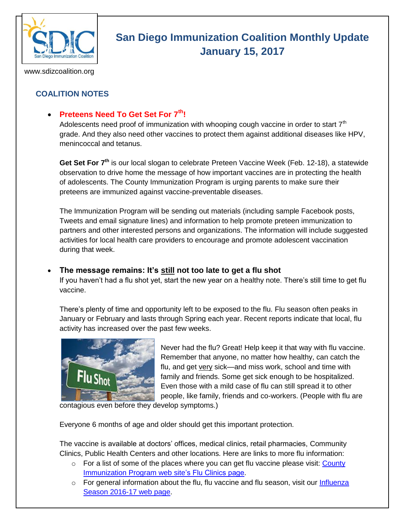

# **San Diego Immunization Coalition Monthly Update January 15, 2017**

www.sdizcoalition.org

# **COALITION NOTES**

## **Preteens Need To Get Set For 7th!**

Adolescents need proof of immunization with whooping cough vaccine in order to start  $7<sup>th</sup>$ grade. And they also need other vaccines to protect them against additional diseases like HPV, menincoccal and tetanus.

**Get Set For 7th** is our local slogan to celebrate Preteen Vaccine Week (Feb. 12-18), a statewide observation to drive home the message of how important vaccines are in protecting the health of adolescents. The County Immunization Program is urging parents to make sure their preteens are immunized against vaccine-preventable diseases.

The Immunization Program will be sending out materials (including sample Facebook posts, Tweets and email signature lines) and information to help promote preteen immunization to partners and other interested persons and organizations. The information will include suggested activities for local health care providers to encourage and promote adolescent vaccination during that week.

#### **The message remains: It's still not too late to get a flu shot**

If you haven't had a flu shot yet, start the new year on a healthy note. There's still time to get flu vaccine.

There's plenty of time and opportunity left to be exposed to the flu. Flu season often peaks in January or February and lasts through Spring each year. Recent reports indicate that local, flu activity has increased over the past few weeks.



Never had the flu? Great! Help keep it that way with flu vaccine. Remember that anyone, no matter how healthy, can catch the flu, and get very sick—and miss work, school and time with family and friends. Some get sick enough to be hospitalized. Even those with a mild case of flu can still spread it to other people, like family, friends and co-workers. (People with flu are

contagious even before they develop symptoms.)

Everyone 6 months of age and older should get this important protection.

The vaccine is available at doctors' offices, medical clinics, retail pharmacies, Community Clinics, Public Health Centers and other locations. Here are links to more flu information:

- $\circ$  For a list of some of the places where you can get flu vaccine please visit: County [Immunization Program web](http://www.sdiz.org/Community/Features/Flu-2016-2017-clinics.html) site's Flu Clinics page.
- $\circ$  For general information about the flu, flu vaccine and flu season, visit our Influenza [Season 2016-17 web page.](http://www.sdiz.org/Community/Features/Flu-2016-17.html)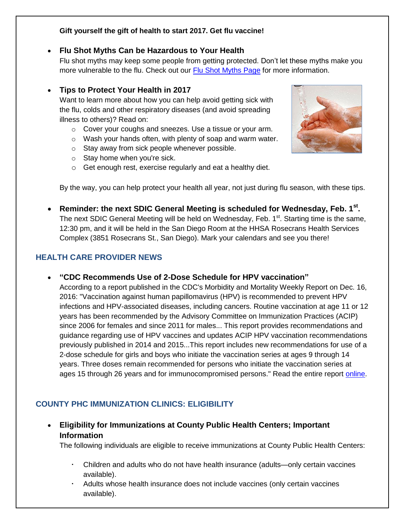#### **Gift yourself the gift of health to start 2017. Get flu vaccine!**

#### **Flu Shot Myths Can be Hazardous to Your Health**

Flu shot myths may keep some people from getting protected. Don't let these myths make you more vulnerable to the flu. Check out our [Flu Shot Myths Page](https://insight.livestories.com/s/debunking-common-flu-vaccine-myths/561fdc42a750b378cac5af6a/) for more information.

#### **Tips to Protect Your Health in 2017**

Want to learn more about how you can help avoid getting sick with the flu, colds and other respiratory diseases (and avoid spreading illness to others)? Read on:

- o Cover your coughs and sneezes. Use a tissue or your arm.
- o Wash your hands often, with plenty of soap and warm water.
- o Stay away from sick people whenever possible.
- o Stay home when you're sick.
- o Get enough rest, exercise regularly and eat a healthy diet.



By the way, you can help protect your health all year, not just during flu season, with these tips.

 **Reminder: the next SDIC General Meeting is scheduled for Wednesday, Feb. 1st .**  The next SDIC General Meeting will be held on Wednesday, Feb.  $1<sup>st</sup>$ . Starting time is the same, 12:30 pm, and it will be held in the San Diego Room at the HHSA Rosecrans Health Services Complex (3851 Rosecrans St., San Diego). Mark your calendars and see you there!

### **HEALTH CARE PROVIDER NEWS**

#### **"CDC Recommends Use of 2-Dose Schedule for HPV vaccination"**

According to a report published in the CDC's Morbidity and Mortality Weekly Report on Dec. 16, 2016: "Vaccination against human papillomavirus (HPV) is recommended to prevent HPV infections and HPV-associated diseases, including cancers. Routine vaccination at age 11 or 12 years has been recommended by the Advisory Committee on Immunization Practices (ACIP) since 2006 for females and since 2011 for males... This report provides recommendations and guidance regarding use of HPV vaccines and updates ACIP HPV vaccination recommendations previously published in 2014 and 2015...This report includes new recommendations for use of a 2-dose schedule for girls and boys who initiate the vaccination series at ages 9 through 14 years. Three doses remain recommended for persons who initiate the vaccination series at ages 15 through 26 years and for immunocompromised persons." Read the entire report [online.](https://www.cdc.gov/mmwr/volumes/65/wr/mm6549a5.htm)

## **COUNTY PHC IMMUNIZATION CLINICS: ELIGIBILITY**

 **Eligibility for Immunizations at County Public Health Centers; Important Information** 

The following individuals are eligible to receive immunizations at County Public Health Centers:

- Children and adults who do not have health insurance (adults—only certain vaccines available).
- Adults whose health insurance does not include vaccines (only certain vaccines available).